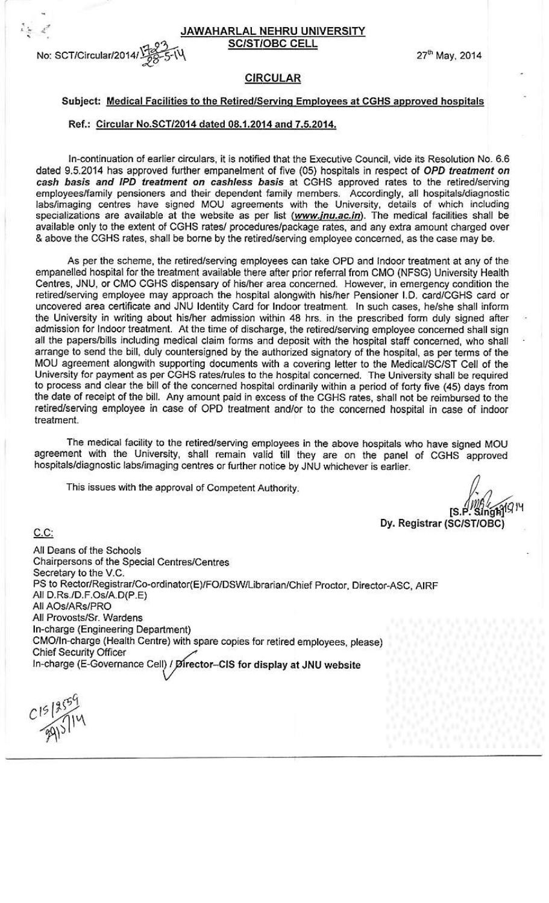JAWAHARLAL NEHRU UNIVERSITY **SC/ST/OBC CELL** 



27<sup>th</sup> May, 2014

### **CIRCULAR**

#### Subiect: Medical Facilities to the Retired/Serving Employees at CGHS approved hospitals

#### Ref.: Circular No.SCT/2014 dated 08.1.2014 and 7.5.2014.

In-continuation of earlier circulars, it is notified that the Executive Council, vide its Resolution No. 6.6 dated 9.5.2014 has approved further empanelment of five (05) hospitals in respect of OPD treatment on cash basis and IPD treatment on cashless basis at CGHS approved rates to the retired/serving employees/family pensioners and their dependent family members. Accordingly, all hospitals/diagnostic labs/imaging centres have signed MOU agreements with the University, details of which including specializations are available at the website as per list (www.inu.ac.in). The medical facilities shall be available only to the extent of CGHS rates/ procedures/package rates, and any extra amount charged over & above the CGHS rates, shall be borne by the retired/serving employee concerned, as the case may be.

As per the scheme, the retired/serving employees can take OPD and Indoor treatment at any of the empanelled hospital for the treatment available there after prior referral from CMO (NFSG) University Health Centres, JNU, or CMO CGHS dispensary of his/her area concerned. However, in emergency condition the retired/serving employee may approach the hospital alongwith his/her Pensioner I.D. card/CGHS card or uncovered area certificate and JNU Identity Card for Indoor treatment. In such cases, he/she shall inform the University in writing about his/her admission within 48 hrs. in the prescribed form duly signed after admission for Indoor treatment. At the time of discharge, the retired/serving employee concerned shall sign all the papers/bills including medical claim forms and deposit with the hospital staff concerned, who shall arrange to send the bill, duly countersigned by the authorized signatory of the hospital, as per terms of the MOU agreement alongwith supporting documents with a covering letter to the Medical/SC/ST Cell of the University for payment as per CGHS rates/rules to the hospital concerned. The University shall be required to process and clear the bill of the concerned hospital ordinarily within a period of forty five (45) days from the date of receipt of the bill. Any amount paid in excess of the CGHS rates, shall not be reimbursed to the retired/serving employee in case of OPD treatment and/or to the concerned hospital in case of indoor treatment.

The medical facility to the retired/serving employees in the above hospitals who have signed MOU agreement with the University, shall remain valid till they are on the panel of CGHS approved hospitals/diagnostic labs/imaging centres or further notice by JNU whichever is earlier.

This issues with the approval of Competent Authority.

Singh114 IS P

Dy. Registrar (SC/ST/OBC)

All Deans of the Schools Chairpersons of the Special Centres/Centres Secretary to the V.C. PS to Rector/Registrar/Co-ordinator(E)/FO/DSW/Librarian/Chief Proctor, Director-ASC, AIRF All D.Rs./D.F.Os/A.D(P.E) All AOs/ARs/PRO All Provosts/Sr. Wardens In-charge (Engineering Department) CMO/In-charge (Health Centre) with spare copies for retired employees, please) Chief Security Officer In-charge (E-Governance Cell) / Director-CIS for display at JNU website

 $C^{15}$ 

 $C.C.$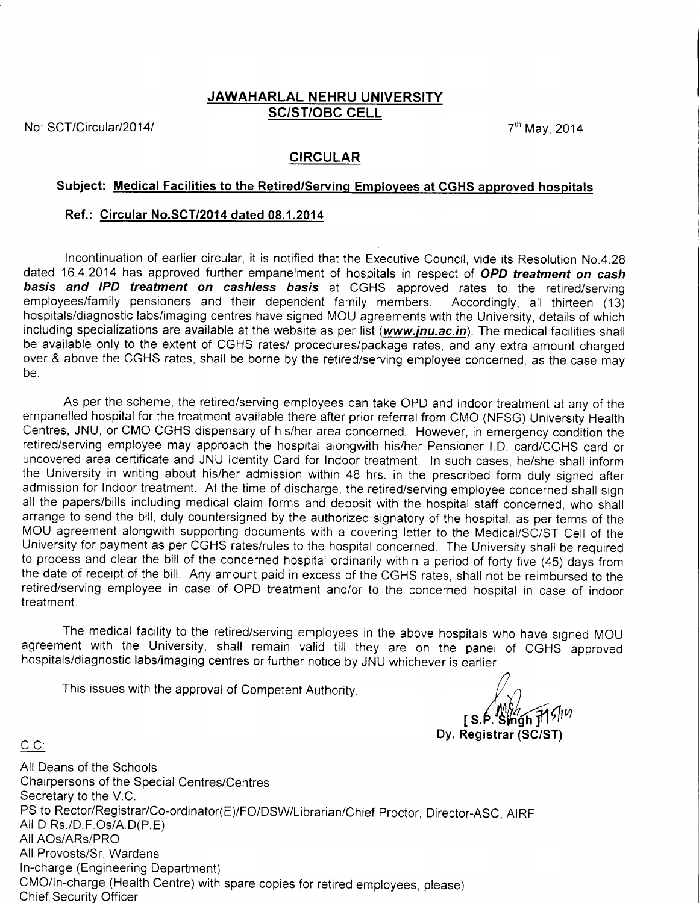#### JAWAHARLAL NEHRU UNIVERSITY SCIST/OBC CELL

No: SCT/Circular/2014/ 2014 7<sup>th</sup> May, 2014

 $C.C.$ 

## CIRCULAR

## Subject: Medical Facilities to the Retired/Serving Employees at CGHS approved hospitals

#### Ref.: Circular No.SCT/2014 dated 08.1.2014

Incontinuation of earlier circular, it is notified that the Executive Council, vide its Resolution No.4.28 dated 16.4.2014 has approved further empanelment of hospitals in respect of OPD treatment on cash basis and IPD treatment on cashless basis at CGHS approved rates to the retired/serving employeeslfamily pensioners and their dependent family members. Accordingly, all thirteen (13) hospitals/diagnostic labs/imaging centres have signed MOU agreements with the University, details of which including specializations are available at the website as per list (www.jnu.ac.in). The medical facilities shall be available only to the extent of CGHS rates/ procedures/package rates, and any extra amount charged over & above the CGHS rates, shall be borne by the retired/serving employee concerned, as the case may be.

As per the scheme, the retired/serving employees can take OPD and Indoor treatment at any of the empanelled hospital for the treatment available there after prior referral from CMO (NFSG) University Health Centres, JNU, or CMO CGHS dispensary of his/her area concerned. However, in emergency condition the retired/serving employee may approach the hospital alongwith his/her Pensioner l.D. card/CGHS card or uncovered area certificate and JNU ldentity Card for Indoor treatment. ln such cases, he/she shall inform the University in writing about his/her admission within 48 hrs. in the prescribed form duly signed after admission for Indoor treatment. At the time of discharge, the retired/serving employee concerned shall sign all the papers/bills including medical claim forms and deposit with the hospital staff concerned, who shall arrange to send the bill, duly countersigned by the authorized signatory of the hospital, as per terms of the MOU agreement alongwith supporting documents with a covering letter to the Medical/SC/ST Cell of the University for payment as per CGHS rates/rules to the hospital concerned. The University shall be required to process and clear the bill of the concerned hospital ordinarily within a period of forty five (45) days from the date of receipt of the bill. Any amount paid in excess of the CGHS rates, shall not be reimbursed to the retired/serving employee in case of OPD treatment and/or to the concerned hospital in case of indoor treatment.

The medical facility to the retired/serving employees in the above hospitals who have signed MOU agreement with the University, shall remain valid till they are on the panel of CGHS approved hospitals/diagnostic labs/imaging centres or further notice by JNU whichever is earlier

This issues with the approval of Competent Authority.

M*ih (*S.P. Singh T1*9|۱۷*<br>Dy. Registrar (SC/ST)

All Deans of the Schools Chairpersons of the Special Centres/Centres Secretary to the V.C. PS to Rector/Registrar/Co-ordinator(E)/FO/DSWLibrarian/Chief Proctor, Director-ASC, AtRF All D.Rs./D.F.Os/A.D(P.E) AllAOs/ARs/PRO All Provosts/Sr. Wardens <sup>I</sup>n-charge (Engineering Department) CMO/ln-charge (Health Centre) with spare copies for retired employees, please) Chief Security Officer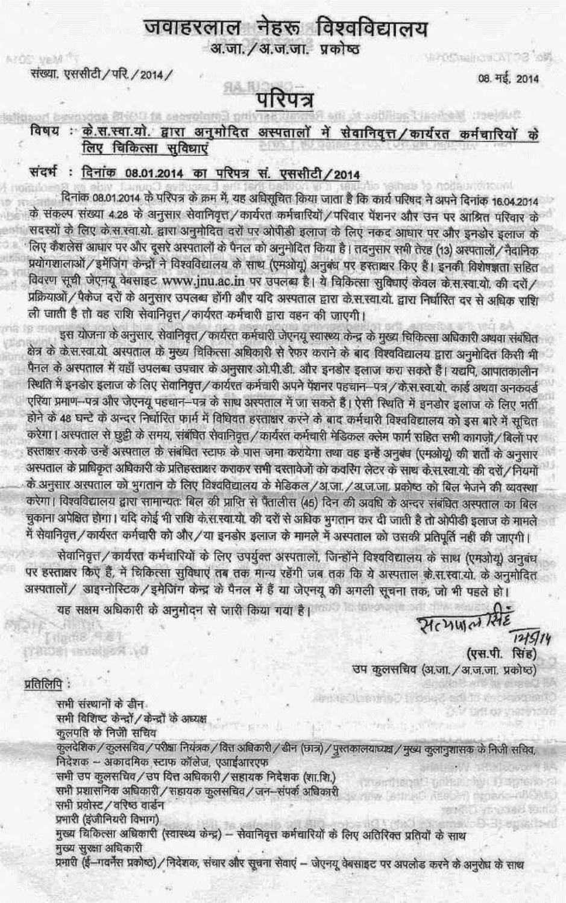## जवाहरलाल नेहरू विश्वविद्यालय अ.जा. / अ.ज.जा. प्रकोष्ठ

संख्या. एससीटी / परि. / 2014 /

**AZOS VEMITY** 

08. मई. 2014

ShepStraing(EA) 73 3两

# <sup>वा परिपत्र</sup>

## विषय : के.स.स्वा.यो. द्वारा अनुमोदित अस्पतालों में सेवानिवृत्त/कार्यरत कर्मचारियों के लिए चिकित्सा सुविधाएं

## संदर्भ: दिनांक 08.01.2014 का परिपत्र सं. एससीटी/2014

दिनांक 08.01.2014 के परिपत्र के क्रम में, यह अधिसूचित किया जाता है कि कार्य परिषद ने अपने दिनांक 16.04.2014 के संकल्प संख्या 4.28 के अनुसार सेवानिवृत्त / कार्यरत कर्मचारियों / परिवार पेंशनर और उन पर आश्रित परिवार के सदस्यों के लिए के स.स्वा.यो. द्वारा अनुमोदित दरों पर ओपीडी इलाज के लिए नकद आधार पर और इनडोर इलाज के लिए कैशलेस आधार पर और दूसरे अस्पतालों के पैनल को अनुमोदित किया है। तदनुसार सभी तेरह (13) अस्पतालों/नैदानिक प्रयोगशालाओं / इमेंजिंग केन्द्रों ने विश्वविद्यालय के साथ (एमओयू) अनुबंध पर हस्ताक्षर किए हैं। इनकी विशेषज्ञता सहित विवरण सूची जेएनयू वेबसाइट www.jnu.ac.in पर उपलब्ध है। ये चिकित्सा सुविधाएं केवल के.स.स्वा.यो. की दरों/ प्रक्रियाओं / पैकेज दरों के अनुसार उपलब्ध होंगी और यदि अस्पताल द्वारा के.स.स्वा.यो. द्वारा निर्धारित दर से अधिक राशि ली जाती है तो वह राशि सेवानिवृत्त / कार्यरत कर्मचारी द्वारा वहन की जाएगी।

इस योजना के अनुसार, सेवानिवृत्त / कार्यरत कर्मचारी जेएनयू स्वास्थ्य केन्द्र के मुख्य चिकित्सा अधिकारी अथवा संबंधित क्षेत्र के के.स.स्वा.यो. अस्पताल के मुख्य चिकित्सा अधिकारी से रेफर कराने के बाद विश्वविद्यालय द्वारा अनुमोदित किसी भी पैनल के अस्पताल में वहाँ उपलब्ध उपचार के अनुसार ओ.पी.डी. और इनडोर इलाज करा सकते हैं। यद्यपि, आपातकालीन स्थिति में इनडोर इलाज के लिए सेवानिवृत्त⁄ कार्यरत कर्मचारी अपने पेशनर पहचान—पत्र⁄के.स.स्वा.यो. कार्ड अथवा अनकवर्ड एरिया प्रमाण-पत्र और जेएनयू पहचान-पत्र के साथ अस्पताल में जा सकते हैं। ऐसी स्थिति में इनडोर इलाज के लिए भर्ती होने के 48 घन्टे के अन्दर निर्धारित फार्म में विधिवत हस्ताक्षर करने के बाद कर्मचारी विश्वविद्यालय को इस बारे में सूचित करेगा। अस्पताल से छुट्टी के समय, संबंधित सेवानिवृत्त / कार्यरत कर्मचारी मेडिकल क्लेम फार्म सहित सभी कागज़ों / बिलों पर हरताक्षर करके उन्हें अस्पताल के संबंधित स्टाफ के पास जमा करायेगा तथा वह इन्हें अनुबंध (एमओयू) की शर्तों के अनुसार अस्पताल के प्राधिकृत अधिकारी के प्रतिहस्ताक्षर कराकर सभी दस्तावेजों को कवरिंग लेटर के साथ के.स.स्वा.यो. की दरों/नियमों के अनुसार अस्पताल को भुगतान के लिए विश्वविद्यालय के मेडिकल/अ.जा./अ.ज.जा. प्रकोष्ठ को बिल भेजने की व्यवस्था करेगा। विश्वविद्यालय द्वारा सामान्यतः बिल की प्राप्ति से पैतालीस (45) दिन की अवधि के अन्दर संबंधित अस्पताल का बिल चुकाना अपेक्षित होगा। यदि कोई भी राशि के.स.स्वा.यो. की दरों से अधिक भुगतान कर दी जाती है तो ओपीडी इलाज के मामले .<br>मैं सेवानिवृत्त / कार्यरत कर्मचारी को और / या इनडोर इलाज के मामले में अस्पताल को उसकी प्रतिपूर्ति नहीं की जाएगी।

सेवानिवृत्तं / कार्यरत कर्मचारियों के लिए उपर्युक्त अस्पतालों, जिन्होंने विश्वविद्यालय के साथ (एमओयू) अनुबंध पर हस्ताक्षर किए हैं, में चिकित्सा सुविधाएं तब तक मान्य रहेंगी जब तक कि ये अस्पताल क़े.स.स्वा.यो. के अनुमोदित अस्पतालों / डाइग्नोस्टिक / इमेजिंग केन्द्र के पैनल में हैं या जेएनयू की अगली सूचना तक, जो भी पहले हो।

यह सक्षम अधिकारी के अनुमोदन से जारी किया गया है।

Henwarthe  $121914$ (एस.पी. सिंह) उप कुलसचिव (अ.जा. / अ.ज.जा. प्रकोष्ठ)

प्रतिलिपि:

(Inches) DATOR RESIDER NO

> APPLICATION NO STREET सभी संस्थानों के डीन सभी विशिष्ट केन्द्रों / केन्द्रों के अध्यक्ष कुलपति के निजी सचिव .<br>कुलदेशिक / कुलसचिव / परीक्षा नियंत्रक / वित्त अविकारी / डीन (छात्र) / पुस्तकालयाध्यक्ष / मुख्य कुलानुशासक के निजी सचिव, निदेशक – अकादमिक स्टाफ कॉलेज, एआईआरएफ सभी उप कुलसचिव/ उप वित्त अधिकारी/सहायक निदेशक (शा.शि.) सभी प्रशासनिक अधिकारी / सहायक कुलसचिव / जन–संपर्क अधिकारी thing its an imaximiliants सभी प्रवोस्ट / वरिष्ठ वार्डन and Learn and Bartis प्रमारी (इंजीनियरी विभाग) **SHORES** मुख्य चिकित्सा अधिकारी (स्वास्थ्य केन्द्र) – सेवानिवृत्त कर्मचारियों के लिए अतिरिक्त प्रतियों के साथ मुख्य सुरक्षा अधिकारी

प्रभारी (ई-गवर्नेस प्रकोष्ठ) / निदेशक, संचार और सूचना सेवाएं - जेएनयू वेबसाइट पर अपलोड करने के अनुरोध के साथ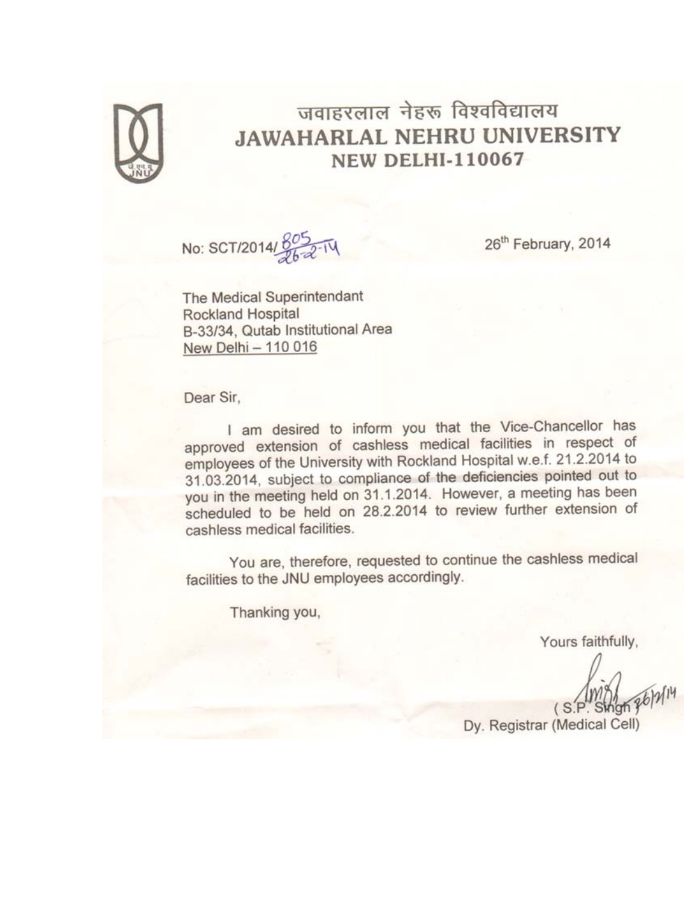

## जवाहरलाल नेहरू विश्वविद्यालय **JAWAHARLAL NEHRU UNIVERSITY NEW DELHI-110067**

No: SCT/2014/8052-14

26<sup>th</sup> February, 2014

The Medical Superintendant Rockland Hospital B-33/34, Qutab Institutional Area New Delhi - 110 016

Dear Sir,

I am desired to inform you that the Vice-Chancellor has approved extension of cashless medical facilities in respect of employees of the University with Rockland Hospital w.e.f. 21.2.2014 to 31.03.2014, subject to compliance of the deficiencies pointed out to you in the meeting held on 31.1.2014. However, a meeting has been scheduled to be held on 28.2.2014 to review further extension of cashless medical facilities.

You are, therefore, requested to continue the cashless medical facilities to the JNU employees accordingly.

Thanking you,

Yours faithfully,

Dy. Registrar (Medical Cell)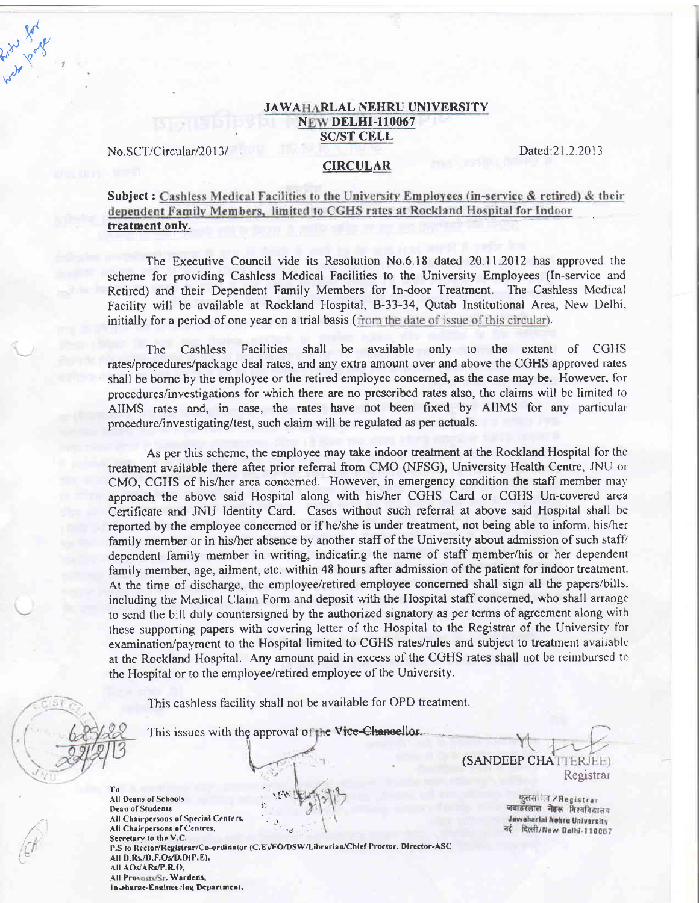#### JAWAHARLAL NEHRU UNIVERSITY **NEW DELHI-110067** SC/ST CELL

No.SCT/Circular/2013/ Dated:21.2.2013

 $f_{\nu_\mathrm{o}}$ .<br>ک*ې* 

 $\geq$ 

 $\overline{y}_{\rho}^l$ 

#### CIRCULAR

## Subject: Cashless Medical Facilities to the University Employees (in-service & retired) & their dependent Family Members, limited to CGHS rates at Rockland Hospital for Indoor treatment only.

The Executive Council vide its Resolution No.6.l8 dated 20.11.2012 has approved the scheme for providing Cashless Medical Facilities to the University Employees (ln-service and Retired) and their Dependent Family Members for In-door Treatment. The Cashless Mcdical Facility will be available at Rockland Flospital, 8-33-34, Qutab Institutional Area, New Delhi. initially for a period of one year on a trial basis (from the date of issue of this circular).

The Cashless Facilities shall be available only to the extent of CGHS rates/procedures/package deal rates, and any extra amount over and above the CGHS approved rates shall be borne by the employee or the retired employee concerned, as the case may be. However, for procedures/investigations for which there are no ptescribed rates also, the claims wiil be limited to AIIMS rates and, in case, the rates have not been fixed by AIIMS for any particular procedurc/investigating/test, such claim will be regulated as per actuals.

As per this scheme, the employee may take indoor treatment at the Rockland Hospital for the treatment available there after prior referral from CMO (NFSG), University Health Centre, JNU or CMO, CGHS of his/her area concerned. However, in emergency condition the staff member may approach the above said Hospital along with his/her CGHS Card or CGHS Un-covered area Certificate and JNU ldentity Card. Cases without such refenal at above said Hospital shall be reported by the employee concerned or if he/she is under treatment, not being able to inform, his/her family member or in his/her absence by another staff of the University about admission of such staff dependent family member in writing, indicating the name of staff member/his or her dependent family member, age, ailment, etc. within 48 hours after admission of the patient for indoor treatment. At the time of discharge, the employee/retired employee concerned shall sign all the papers/bills. including the Medical Claim Form and deposit with the Hospital staff concerned, who shall arrange to send the bill duly countersigned by the authorized signatory as per terms of agreement along with these supporting papers with covering letter of the Hospital to the Registrar of the University for examination/payment to the Hospital limited to CGHS rates/rules and subject to treatment available at the Rockland Hospital. Any amount paid in excess of the CGHS rates shall not be reimbursed to the Hospital or to the employee/retired employee of the University.

> -- -

This cashless facility shall not be available for OPD treatment.

This issues with the approval of the Vice-<del>Chancellor</del>.

To<br>All Deans of Schools Dean of Students All Chairpersons of Special Centers. All Chairpersons of Centres, Secretary to the V.C. P.S to Rector/Registrar/Co-ordinator (C.E)/FO/DSW/Librarian/Chief Prottor, Director-ASC All D. Rs./D.F.Os/D.D(P.E), Alt AOsJdR3/F.RO. All Provosts/Sr. Wardens,

Inseharge-Engineering Department,

itit,

 $\ddot{\phantom{0}}$ 

(SANDEEP CHAT Registrar

> कुलस**ीन / Registrar** जवाडरलाल नेहरू विश्वविद्यालय Jawaharlal Nehru University नई दिल्ली/New Delhi-110067